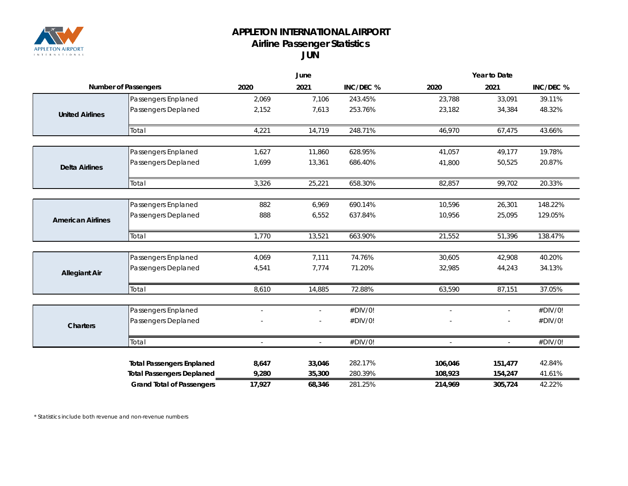

## **APPLETON INTERNATIONAL AIRPORT Airline Passenger Statistics JUN**

|                             |                                  | June                     |                          |           | Year to Date |               |           |  |
|-----------------------------|----------------------------------|--------------------------|--------------------------|-----------|--------------|---------------|-----------|--|
| <b>Number of Passengers</b> |                                  | 2020                     | 2021                     | INC/DEC % | 2020         | 2021          | INC/DEC % |  |
|                             | Passengers Enplaned              | 2,069                    | 7,106                    | 243.45%   | 23,788       | 33,091        | 39.11%    |  |
| <b>United Airlines</b>      | Passengers Deplaned              | 2,152                    | 7,613                    | 253.76%   | 23,182       | 34,384        | 48.32%    |  |
|                             | Total                            | 4,221                    | 14,719                   | 248.71%   | 46,970       | 67,475        | 43.66%    |  |
|                             | Passengers Enplaned              | 1,627                    | 11,860                   | 628.95%   | 41,057       | 49,177        | 19.78%    |  |
| <b>Delta Airlines</b>       | Passengers Deplaned              | 1,699                    | 13,361                   | 686.40%   | 41,800       | 50,525        | 20.87%    |  |
|                             | Total                            | 3,326                    | 25,221                   | 658.30%   | 82,857       | 99,702        | 20.33%    |  |
|                             |                                  |                          |                          |           |              |               |           |  |
|                             | Passengers Enplaned              | 882                      | 6,969                    | 690.14%   | 10,596       | 26,301        | 148.22%   |  |
| <b>American Airlines</b>    | Passengers Deplaned              | 888                      | 6,552                    | 637.84%   | 10,956       | 25,095        | 129.05%   |  |
|                             | Total                            | 1,770                    | 13,521                   | 663.90%   | 21,552       | 51,396        | 138.47%   |  |
|                             | Passengers Enplaned              | 4,069                    | 7,111                    | 74.76%    | 30,605       | 42,908        | 40.20%    |  |
| <b>Allegiant Air</b>        | Passengers Deplaned              | 4,541                    | 7,774                    | 71.20%    | 32,985       | 44,243        | 34.13%    |  |
|                             | Total                            | 8,610                    | 14,885                   | 72.88%    | 63,590       | 87,151        | 37.05%    |  |
|                             | Passengers Enplaned              | $\overline{a}$           | $\overline{\phantom{a}}$ | #DIV/0!   | $\sim$       | $\mathbf{r}$  | #DIV/0!   |  |
| <b>Charters</b>             | Passengers Deplaned              |                          |                          | #DIV/0!   |              |               | #DIV/0!   |  |
|                             | Total                            | $\overline{\phantom{a}}$ | $\overline{\phantom{a}}$ | #DIV/0!   |              | $\mathcal{L}$ | #DIV/0!   |  |
|                             | <b>Total Passengers Enplaned</b> | 8,647                    | 33,046                   | 282.17%   | 106,046      | 151,477       | 42.84%    |  |
|                             | <b>Total Passengers Deplaned</b> | 9,280                    | 35,300                   | 280.39%   | 108,923      | 154,247       | 41.61%    |  |
|                             | <b>Grand Total of Passengers</b> | 17,927                   | 68,346                   | 281.25%   | 214,969      | 305,724       | 42.22%    |  |

*\* Statistics include both revenue and non-revenue numbers*